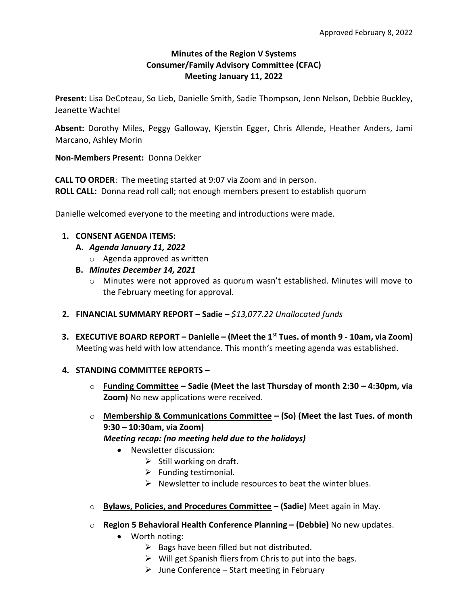## **Minutes of the Region V Systems Consumer/Family Advisory Committee (CFAC) Meeting January 11, 2022**

**Present:** Lisa DeCoteau, So Lieb, Danielle Smith, Sadie Thompson, Jenn Nelson, Debbie Buckley, Jeanette Wachtel

**Absent:** Dorothy Miles, Peggy Galloway, Kjerstin Egger, Chris Allende, Heather Anders, Jami Marcano, Ashley Morin

**Non-Members Present:** Donna Dekker

**CALL TO ORDER**: The meeting started at 9:07 via Zoom and in person. **ROLL CALL:** Donna read roll call; not enough members present to establish quorum

Danielle welcomed everyone to the meeting and introductions were made.

### **1. CONSENT AGENDA ITEMS:**

- **A.** *Agenda January 11, 2022*
	- o Agenda approved as written
- **B.** *Minutes December 14, 2021*
	- o Minutes were not approved as quorum wasn't established. Minutes will move to the February meeting for approval.
- **2. FINANCIAL SUMMARY REPORT – Sadie –** *\$13,077.22 Unallocated funds*
- **3. EXECUTIVE BOARD REPORT – Danielle – (Meet the 1st Tues. of month 9 - 10am, via Zoom)** Meeting was held with low attendance. This month's meeting agenda was established.

### **4. STANDING COMMITTEE REPORTS –**

- o **Funding Committee – Sadie (Meet the last Thursday of month 2:30 – 4:30pm, via Zoom)** No new applications were received.
- o **Membership & Communications Committee – (So) (Meet the last Tues. of month 9:30 – 10:30am, via Zoom)** *Meeting recap: (no meeting held due to the holidays)*
	- Newsletter discussion:
		- $\triangleright$  Still working on draft.
		- $\triangleright$  Funding testimonial.
		- $\triangleright$  Newsletter to include resources to beat the winter blues.
- o **Bylaws, Policies, and Procedures Committee – (Sadie)** Meet again in May.
- o **Region 5 Behavioral Health Conference Planning – (Debbie)** No new updates.
	- Worth noting:
		- $\triangleright$  Bags have been filled but not distributed.
		- $\triangleright$  Will get Spanish fliers from Chris to put into the bags.
		- $\triangleright$  June Conference Start meeting in February